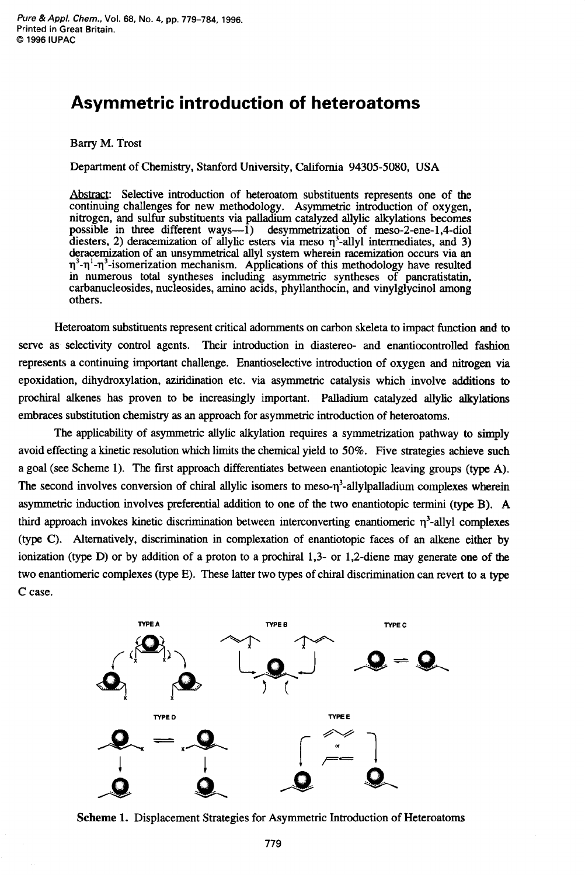# **Asymmetric introduction of heteroatoms**

## **Barry** M. Trost

Department of Chemistry, Stanford University, California 94305-5080, USA

Abstract: Selective introduction of heteroatom substituents represents one of the continuing challenges for new methodology. Asymmetric introduction of oxygen, nitrogen, and sulfur substituents via palladium catalyzed allylic alkylations becomes possible in three different ways—1) desymmetrization of meso-2-ene-1,4-diol diesters, 2) deracemization of allylic esters via meso  $\eta^3$ -allyl intermediates, and 3) deracemization of an unsymmetrical ally1 system wherein racemization occurs via **an q3-q** '-q3-isomerization mechanism. Applications of this methodology have resulted in numerous total syntheses including asymmetric syntheses of pancratistatin, carbanucleosides, nucleosides, amino acids, phyllanthocin, and vinylglycinol among others.

Heteroatom substituents represent critical adornments on carbon skeleta to impact function and to serve as selectivity control agents. Their introduction in diastereo- and enantiocontrolled fashion represents a continuing important challenge. Enantioselective introduction of oxygen and nitrogen via epoxidation, dihydroxylation, aziridination etc. via asymmetric catalysis which involve additions to prochiral alkenes has proven to be increasingly important. Palladium catalyzed allylic akylations embraces substitution chemistry **as** an approach for asymmetric introduction of heteroatoms.

The applicability of asymmetric allylic alkylation requires a symmetrization pathway **to** simply avoid effecting a kinetic resolution which limits the chemical yield to 50%. Five strategies achieve such a goal (see Scheme 1). The first approach differentiates between enantiotopic leaving groups **(type** A). The second involves conversion of chiral allylic isomers to meso- $\eta^3$ -allylpalladium complexes wherein asymmetric induction involves preferential addition to one of the two enantiotopic termini **(type** B). A third approach invokes kinetic discrimination between interconverting enantiomeric  $\eta^3$ -allyl complexes **(type** C). Alternatively, discrimination in complexation of enantiotopic faces of an alkene either by ionization (type D) or by addition of a proton to a prochiral 1,3- or 1,2-diene may generate one of the two enantiomeric complexes **(type** E). These latter two **types** of chiral discrimination can revert to a **type**  C case.



Scheme 1. Displacement Strategies for Asymmetric Introduction of Heteroatoms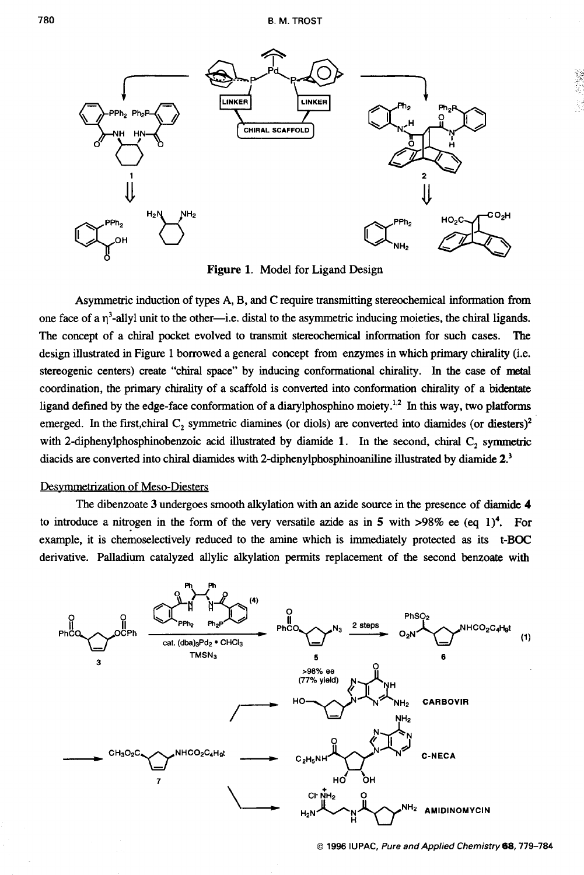

Figure 1. Model for Ligand Design

Asymmetric induction of types A, B, and **C** require transmitting stereochemical information **from**  one face of a  $\eta^3$ -allyl unit to the other--i.e. distal to the asymmetric inducing moieties, the chiral ligands. The concept of a chiral pocket evolved to transmit stereochemical information for such cases. The design illustrated in Figure 1 borrowed a general concept from enzymes in which primary chirality (i.e. stereogenic centers) create "chiral space" by inducing conformational chirality. In the case of **metal**  coordination, the primary chirality of a scaffold is converted into conformation chirality of a bidentate ligand defined by the edge-face conformation of a diarylphosphino moiety.<sup>1,2</sup> In this way, two platforms emerged. In the first,chiral C<sub>2</sub> symmetric diamines (or diols) are converted into diamides (or diesters)<sup>2</sup> with **2-diphenylphosphinobenzoic** acid illustrated by **diamide** 1. In the second, chiral **C,** symmetric diacids are converted into chiral diamides with **2-diphenylphosphinoaniline** illustrated by **diamide Z3** 

## Desymmetrization of Meso-Diesters

The dibenzoate 3 undergoes smooth alkylation with an azide source in the presence of **diamide 4**  to introduce a nitrogen in the form of the very versatile azide as in **5** with **>98%** *ee (eq* **l)4.** For example, it is chemoselectively reduced to the amine which is immediately protected as its t-BOC derivative. Palladium catalyzed allylic alkylation permits replacement of the second benzoate with

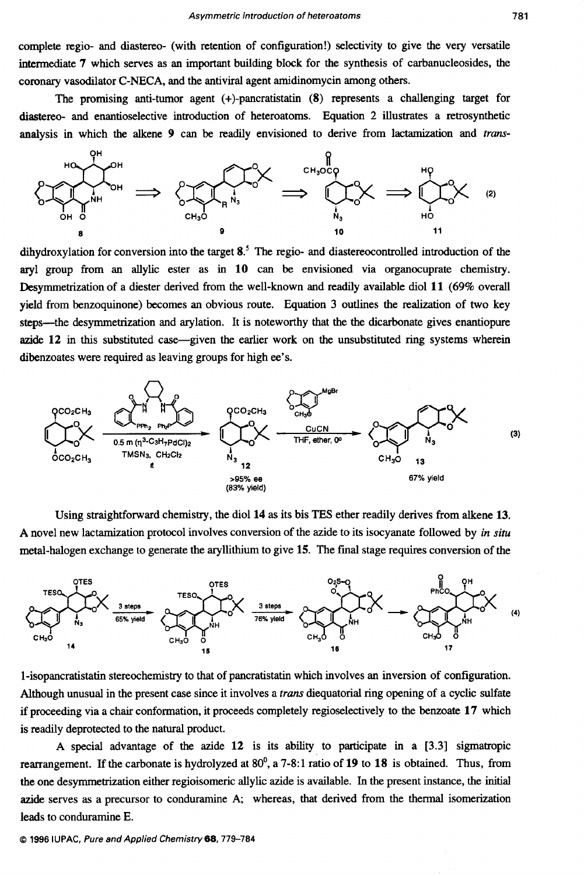complete regio- and diastereo- (with retention of configuration!) selectivity to give the very versatile intermediate 7 which serves as an important building block for the synthesis of carbanucleosides, the coronary vasodilator C-NECA, and the antiviral agent amidinomycin among others.

The promising anti-tumor agent  $(+)$ -pancratistatin  $(8)$  represents a challenging target for diastereo- and enantioselective introduction of heteroatoms. Equation 2 illustrates a retrosynthetic analysis in whch the alkene 9 can be readily envisioned to derive from lactamization and *frm-*



dihydroxylation for conversion into the target **8.5** The regio- and diastereocontrolled introduction of the aryl group from an allylic ester as in 10 can be envisioned via organocuprate chemistry. Desymmetrization of a diester derived from the well-known and readily available diol 11 (69% overall yield from benzoquinone) becomes an obvious route. Equation 3 outlines the realization of two key steps—the desymmetrization and arylation. It is noteworthy that the the dicarbonate gives enantiopure **azide** 12 in this substituted case-given the earlier work on the unsubstituted ring systems wherein



Using straightforward chemistry, the diol 14 as its bis TES ether readily derives from alkene 13. **A** novel new lactamization protocol involves conversion of the azide to its isocyanate followed by *in situ*  metal-halogen exchange to generate the aryllithium to give **15.** The final stage requires conversion of the



1-isopancratistatin stereochemistry to that of pancratistatin which involves an inversion of configuration. Although unusual in the present case since it involves a trans diequatorial ring opening of a cyclic sulfate if proceeding via a chair conformation, it proceeds completely regioselectively to the benzoate 17 which is readily deprotected to the natural product.

A special advantage of the azide  $12$  is its ability to participate in a  $[3.3]$  sigmatropic rearrangement. If the carbonate is hydrolyzed at 80<sup>0</sup>, a 7-8:1 ratio of 19 to 18 is obtained. Thus, from the one desymmetrization either regioisomeric allylic azide is available. In the present instance, the initial azide serves as a precursor to conduramine A; whereas, that derived from the thermal isomerization leads to conduramine E.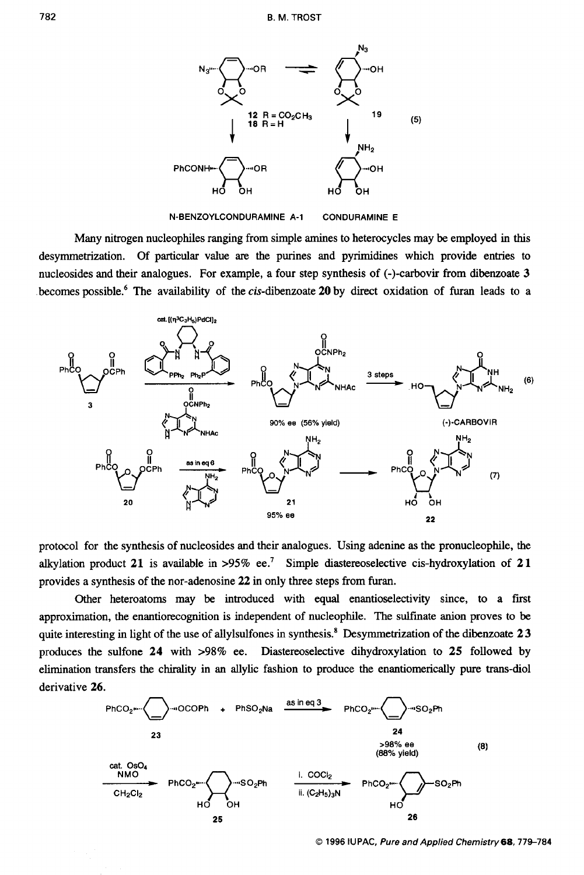

**N-BENZOYLCONDURAMINE A-1 CONDURAMINE E** 

Many nitrogen nucleophiles ranging from simple amines to heterocycles may be employed in this desymmetrization. Of particular value **are** the purines and pyrimidines which provide entries to nucleosides and their analogues. For example, a four step synthesis of (-)-carbovir from dibenzoate 3 becomes possible.<sup>6</sup> The availability of the cis-dibenzoate 20 by direct oxidation of furan leads to a



protocol for the synthesis of nucleosides and their analogues. Using adenine **as** the pronucleophile, the alkylation product **21** is available in *>95%* ee.' Simple diastereoselective cis-hydroxylation of **21**  provides a synthesis of the nor-adenosine **22** in only three steps from furan.

Other heteroatoms may be introduced with equal enantioselectivity since, to a first approximation, the enantiorecognition is independent of nucleophile. The sulfinate anion proves to be quite interesting in light of the use of allylsulfones in synthesis.' Desymmetrization of the dibenzoate **2** 3 produces the sulfone **24** with **>98%** ee. Diastereoselective dihydroxylation to **25** followed by elimination transfers the chirality in an allylic fashion to produce the enantiomerically pure trans-diol derivative **26.** 



*0* **1996 IUPAC,** *Pure and Applied Chernistry68,779-784*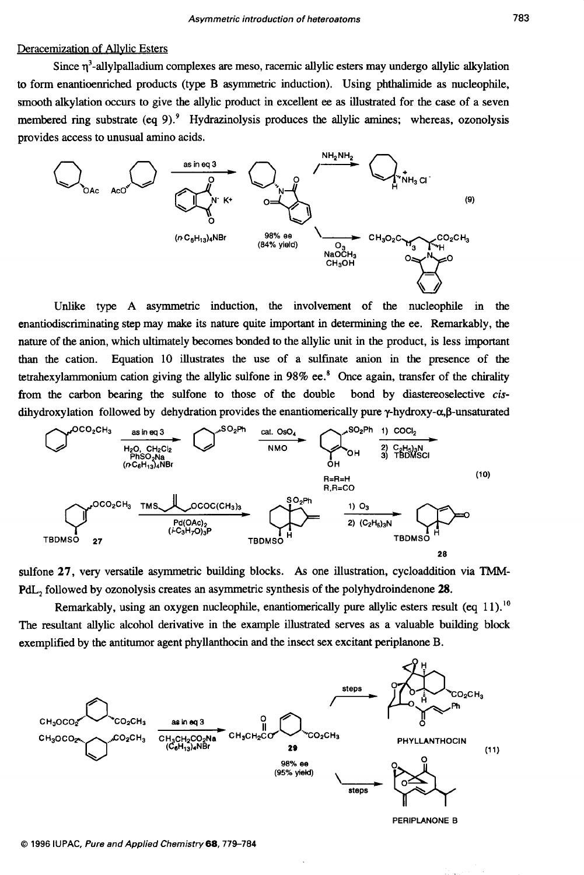## Deracemization of Allvlic Esters

Since q3-allylpalladium complexes **are** meso, racemic allylic esters may undergo allylic alkylation **to** form enantioenriched products (type B asymmetric induction). Using phthalimide **as** nucleophile, smooth alkylation occurs to give the allylic product in excellent *ee* **as** illustrated for the case of a seven membered ring substrate (eq 9) *.9* Hydrazinolysis produces the allylic **amines;** whereas, ozonolysis provides access to unusual amino acids.



Unlike type A asymmetric induction, the involvement of the nucleophile in the enantiodiscriminating step may make its nature quite important in determining the ee. Remarkably, the nature of the anion, which ultimately becomes bonded to the allylic unit in the product, is less important than the cation. Equation 10 illustrates the use of a sulfinate anion in the presence of the tetrahexylammonium cation giving the allylic sulfone in 98% ee.\* Once again, transfer of the chirality from the carbon bearing the sulfone to those of the double bond by diastereoselective *cis*dihydroxylation followed by dehydration provides the enantiomerically pure  $\gamma$ -hydroxy- $\alpha, \beta$ -unsaturated **CO<sub>2</sub>CH3</sub> asineq3**<br> **CO<sub>2</sub>CH<sub>3</sub>**  $\frac{as \ln a_3}{b_0}$   $\frac{C_1C_2}{c_1}$   $\frac{C_2C_1}{d_0}$  **CO**<sub>2</sub> **E**<br> **CO**<sub>2</sub>CH<sub>3</sub><br> **CO**<sub>2</sub>CH<sub>3</sub><br>
(*r*C<sub>6</sub>H<sub>3</sub>)<sub>4</sub>R<sub>B</sub> (*r*C<sub>6</sub>H<sub>3</sub>)<sub>4</sub>R<sub>B</sub><br>
(*r*C<sub>6</sub>H<sub>3</sub>)<sub>4</sub>R<sub>B</sub><br>
(*n*<sup>C</sup><sub>8</sub>)<sub>4</sub>C<sub>B</sub><br>
(*n*<sup>C</sup><sub>8</sub>



sulfone **27,** very versatile asymmetric building blocks. *As* one illustration, cycloaddition via TMM-**PdL,** followed by ozonolysis creates an asymmetric synthesis of the polyhydroindenone **28.** 

Remarkably, using an oxygen nucleophile, enantiomerically pure allylic esters result (eq  $11$ ).<sup>10</sup> The resultant allylic alcohol derivative in the example illustrated serves **as** a valuable building block exemplified by the antitumor agent phyllanthocin and the insect sex excitant periplanone B.



*0* **1996 IUPAC,** *Pure and Applied Chemistry68,779-784*